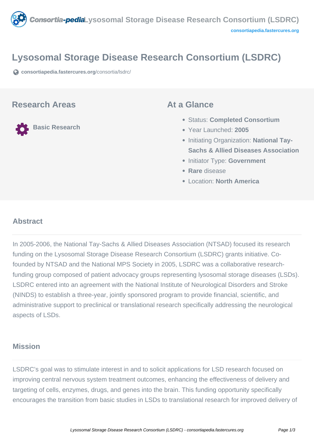

# **Lysosomal Storage Disease Research Consortium (LSDRC)**

**[consortiapedia.fastercures.org](https://consortiapedia.fastercures.org/consortia/lsdrc/)**[/consortia/lsdrc/](https://consortiapedia.fastercures.org/consortia/lsdrc/)

#### **Research Areas**

**Basic Research**

#### **At a Glance**

- Status: **Completed Consortium**
- Year Launched: **2005**
- **Initiating Organization: National Tay-Sachs & Allied Diseases Association**
- **Initiator Type: Government**
- **Rare** disease
- Location: **North America**

# **Abstract**

In 2005-2006, the National Tay-Sachs & Allied Diseases Association (NTSAD) focused its research funding on the Lysosomal Storage Disease Research Consortium (LSDRC) grants initiative. Cofounded by NTSAD and the National MPS Society in 2005, LSDRC was a collaborative researchfunding group composed of patient advocacy groups representing lysosomal storage diseases (LSDs). LSDRC entered into an agreement with the National Institute of Neurological Disorders and Stroke (NINDS) to establish a three-year, jointly sponsored program to provide financial, scientific, and administrative support to preclinical or translational research specifically addressing the neurological aspects of LSDs.

### **Mission**

LSDRC's goal was to stimulate interest in and to solicit applications for LSD research focused on improving central nervous system treatment outcomes, enhancing the effectiveness of delivery and targeting of cells, enzymes, drugs, and genes into the brain. This funding opportunity specifically encourages the transition from basic studies in LSDs to translational research for improved delivery of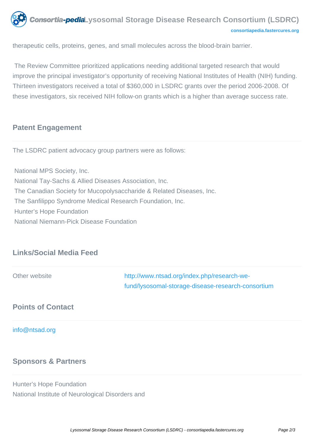

therapeutic cells, proteins, genes, and small molecules across the blood-brain barrier.

 The Review Committee prioritized applications needing additional targeted research that would improve the principal investigator's opportunity of receiving National Institutes of Health (NIH) funding. Thirteen investigators received a total of \$360,000 in LSDRC grants over the period 2006-2008. Of these investigators, six received NIH follow-on grants which is a higher than average success rate.

# **Patent Engagement**

The LSDRC patient advocacy group partners were as follows:

 National MPS Society, Inc. National Tay-Sachs & Allied Diseases Association, Inc. The Canadian Society for Mucopolysaccharide & Related Diseases, Inc. The Sanfilippo Syndrome Medical Research Foundation, Inc. Hunter's Hope Foundation National Niemann-Pick Disease Foundation

# **Links/Social Media Feed**

| Other website            | http://www.ntsad.org/index.php/research-we-<br>fund/lysosomal-storage-disease-research-consortium |
|--------------------------|---------------------------------------------------------------------------------------------------|
| <b>Points of Contact</b> |                                                                                                   |
| info@ntsad.org           |                                                                                                   |

### **Sponsors & Partners**

Hunter's Hope Foundation National Institute of Neurological Disorders and